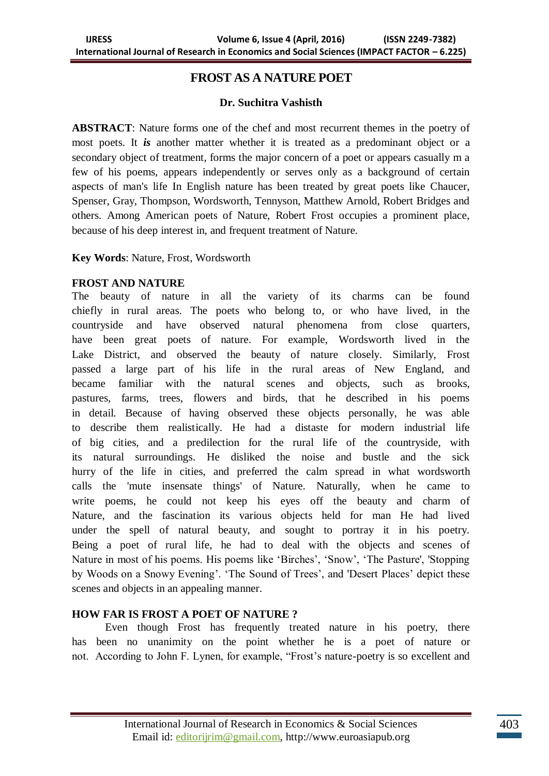# **FROST AS A NATURE POET**

## **Dr. Suchitra Vashisth**

**ABSTRACT**: Nature forms one of the chef and most recurrent themes in the poetry of most poets. It *is* another matter whether it is treated as a predominant object or a secondary object of treatment, forms the major concern of a poet or appears casually m a few of his poems, appears independently or serves only as a background of certain aspects of man's life In English nature has been treated by great poets like Chaucer, Spenser, Gray, Thompson, Wordsworth, Tennyson, Matthew Arnold, Robert Bridges and others. Among American poets of Nature, Robert Frost occupies a prominent place, because of his deep interest in, and frequent treatment of Nature.

**Key Words**: Nature, Frost, Wordsworth

## **FROST AND NATURE**

The beauty of nature in all the variety of its charms can be found chiefly in rural areas. The poets who belong to, or who have lived, in the countryside and have observed natural phenomena from close quarters, have been great poets of nature. For example, Wordsworth lived in the Lake District, and observed the beauty of nature closely. Similarly, Frost passed a large part of his life in the rural areas of New England, and became familiar with the natural scenes and objects, such as brooks, pastures, farms, trees, flowers and birds, that he described in his poems in detail. Because of having observed these objects personally, he was able to describe them realistically. He had a distaste for modern industrial life of big cities, and a predilection for the rural life of the countryside, with its natural surroundings. He disliked the noise and bustle and the sick hurry of the life in cities, and preferred the calm spread in what wordsworth calls the 'mute insensate things' of Nature. Naturally, when he came to write poems, he could not keep his eyes off the beauty and charm of Nature, and the fascination its various objects held for man He had lived under the spell of natural beauty, and sought to portray it in his poetry. Being a poet of rural life, he had to deal with the objects and scenes of Nature in most of his poems. His poems like "Birches", "Snow", "The Pasture', 'Stopping by Woods on a Snowy Evening'. 'The Sound of Trees', and 'Desert Places' depict these scenes and objects in an appealing manner.

## **HOW FAR IS FROST A POET OF NATURE ?**

Even though Frost has frequently treated nature in his poetry, there has been no unanimity on the point whether he is a poet of nature or not. According to John F. Lynen, for example, "Frost"s nature-poetry is so excellent and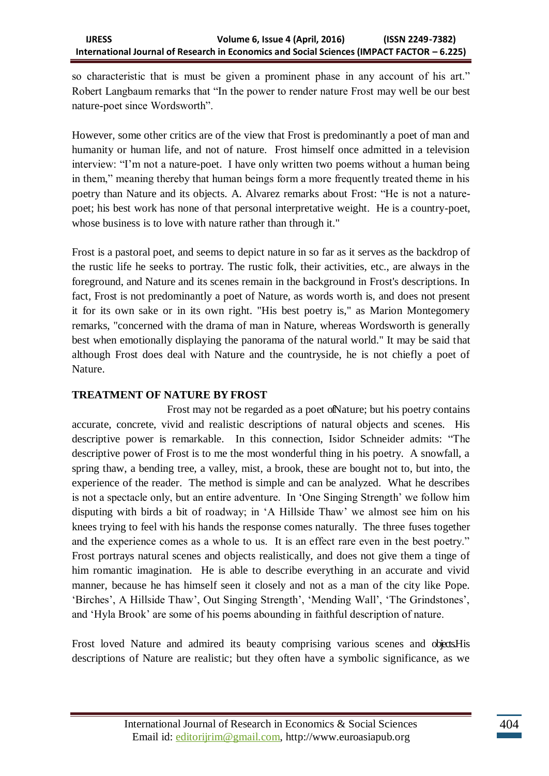so characteristic that is must be given a prominent phase in any account of his art." Robert Langbaum remarks that "In the power to render nature Frost may well be our best nature-poet since Wordsworth".

However, some other critics are of the view that Frost is predominantly a poet of man and humanity or human life, and not of nature. Frost himself once admitted in a television interview: "I'm not a nature-poet. I have only written two poems without a human being in them," meaning thereby that human beings form a more frequently treated theme in his poetry than Nature and its objects. A. Alvarez remarks about Frost: "He is not a naturepoet; his best work has none of that personal interpretative weight. He is a country-poet, whose business is to love with nature rather than through it."

Frost is a pastoral poet, and seems to depict nature in so far as it serves as the backdrop of the rustic life he seeks to portray. The rustic folk, their activities, etc., are always in the foreground, and Nature and its scenes remain in the background in Frost's descriptions. In fact, Frost is not predominantly a poet of Nature, as words worth is, and does not present it for its own sake or in its own right. "His best poetry is," as Marion Montegomery remarks, "concerned with the drama of man in Nature, whereas Wordsworth is generally best when emotionally displaying the panorama of the natural world." It may be said that although Frost does deal with Nature and the countryside, he is not chiefly a poet of Nature.

## **TREATMENT OF NATURE BY FROST**

Frost may not be regarded as a poet ofNature; but his poetry contains accurate, concrete, vivid and realistic descriptions of natural objects and scenes. His descriptive power is remarkable. In this connection, Isidor Schneider admits: "The descriptive power of Frost is to me the most wonderful thing in his poetry. A snowfall, a spring thaw, a bending tree, a valley, mist, a brook, these are bought not to, but into, the experience of the reader. The method is simple and can be analyzed. What he describes is not a spectacle only, but an entire adventure. In "One Singing Strength" we follow him disputing with birds a bit of roadway; in "A Hillside Thaw" we almost see him on his knees trying to feel with his hands the response comes naturally. The three fuses together and the experience comes as a whole to us. It is an effect rare even in the best poetry." Frost portrays natural scenes and objects realistically, and does not give them a tinge of him romantic imagination. He is able to describe everything in an accurate and vivid manner, because he has himself seen it closely and not as a man of the city like Pope. 'Birches', A Hillside Thaw', Out Singing Strength', 'Mending Wall', 'The Grindstones', and "Hyla Brook" are some of his poems abounding in faithful description of nature.

Frost loved Nature and admired its beauty comprising various scenes and objects His descriptions of Nature are realistic; but they often have a symbolic significance, as we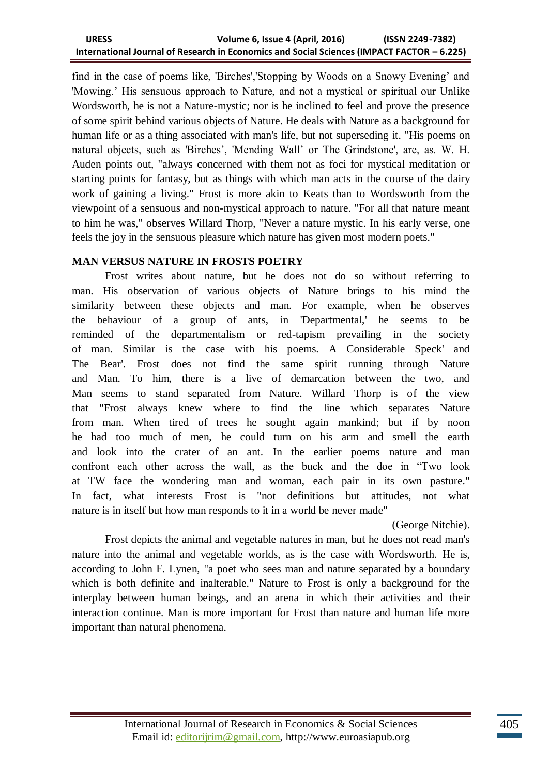find in the case of poems like, 'Birches','Stopping by Woods on a Snowy Evening" and 'Mowing." His sensuous approach to Nature, and not a mystical or spiritual our Unlike Wordsworth, he is not a Nature-mystic; nor is he inclined to feel and prove the presence of some spirit behind various objects of Nature. He deals with Nature as a background for human life or as a thing associated with man's life, but not superseding it. "His poems on natural objects, such as 'Birches", 'Mending Wall" or The Grindstone', are, as. W. H. Auden points out, "always concerned with them not as foci for mystical meditation or starting points for fantasy, but as things with which man acts in the course of the dairy work of gaining a living." Frost is more akin to Keats than to Wordsworth from the viewpoint of a sensuous and non-mystical approach to nature. "For all that nature meant to him he was," observes Willard Thorp, "Never a nature mystic. In his early verse, one feels the joy in the sensuous pleasure which nature has given most modern poets."

## **MAN VERSUS NATURE IN FROSTS POETRY**

Frost writes about nature, but he does not do so without referring to man. His observation of various objects of Nature brings to his mind the similarity between these objects and man. For example, when he observes the behaviour of a group of ants, in 'Departmental,' he seems to be reminded of the departmentalism or red-tapism prevailing in the society of man. Similar is the case with his poems. A Considerable Speck' and The Bear'. Frost does not find the same spirit running through Nature and Man. To him, there is a live of demarcation between the two, and Man seems to stand separated from Nature. Willard Thorp is of the view that "Frost always knew where to find the line which separates Nature from man. When tired of trees he sought again mankind; but if by noon he had too much of men, he could turn on his arm and smell the earth and look into the crater of an ant. In the earlier poems nature and man confront each other across the wall, as the buck and the doe in "Two look at TW face the wondering man and woman, each pair in its own pasture." In fact, what interests Frost is "not definitions but attitudes, not what nature is in itself but how man responds to it in a world be never made"

(George Nitchie).

Frost depicts the animal and vegetable natures in man, but he does not read man's nature into the animal and vegetable worlds, as is the case with Wordsworth. He is, according to John F. Lynen, "a poet who sees man and nature separated by a boundary which is both definite and inalterable." Nature to Frost is only a background for the interplay between human beings, and an arena in which their activities and their interaction continue. Man is more important for Frost than nature and human life more important than natural phenomena.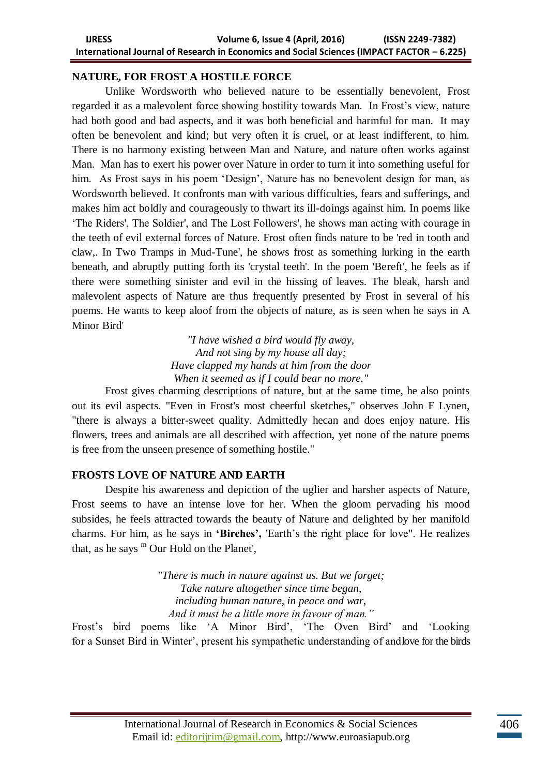## **NATURE, FOR FROST A HOSTILE FORCE**

Unlike Wordsworth who believed nature to be essentially benevolent, Frost regarded it as a malevolent force showing hostility towards Man. In Frost"s view, nature had both good and bad aspects, and it was both beneficial and harmful for man. It may often be benevolent and kind; but very often it is cruel, or at least indifferent, to him. There is no harmony existing between Man and Nature, and nature often works against Man. Man has to exert his power over Nature in order to turn it into something useful for him. As Frost says in his poem 'Design', Nature has no benevolent design for man, as Wordsworth believed. It confronts man with various difficulties, fears and sufferings, and makes him act boldly and courageously to thwart its ill-doings against him. In poems like "The Riders', The Soldier', and The Lost Followers', he shows man acting with courage in the teeth of evil external forces of Nature. Frost often finds nature to be 'red in tooth and claw,. In Two Tramps in Mud-Tune', he shows frost as something lurking in the earth beneath, and abruptly putting forth its 'crystal teeth'. In the poem 'Bereft', he feels as if there were something sinister and evil in the hissing of leaves. The bleak, harsh and malevolent aspects of Nature are thus frequently presented by Frost in several of his poems. He wants to keep aloof from the objects of nature, as is seen when he says in A Minor Bird'

> *"I have wished a bird would fly away, And not sing by my house all day; Have clapped my hands at him from the door When it seemed as if I could bear no more."*

Frost gives charming descriptions of nature, but at the same time, he also points out its evil aspects. "Even in Frost's most cheerful sketches," observes John F Lynen, "there is always a bitter-sweet quality. Admittedly hecan and does enjoy nature. His flowers, trees and animals are all described with affection, yet none of the nature poems is free from the unseen presence of something hostile."

## **FROSTS LOVE OF NATURE AND EARTH**

Despite his awareness and depiction of the uglier and harsher aspects of Nature, Frost seems to have an intense love for her. When the gloom pervading his mood subsides, he feels attracted towards the beauty of Nature and delighted by her manifold charms. For him, as he says in **'Birches',** 'Earth"s the right place for love". He realizes that, as he says  $^{\rm m}$  Our Hold on the Planet',

> *"There is much in nature against us. But we forget; Take nature altogether since time began, including human nature, in peace and war, And it must be a little more in favour of man."*

Frost's bird poems like 'A Minor Bird', 'The Oven Bird' and 'Looking for a Sunset Bird in Winter', present his sympathetic understanding of andlove for the birds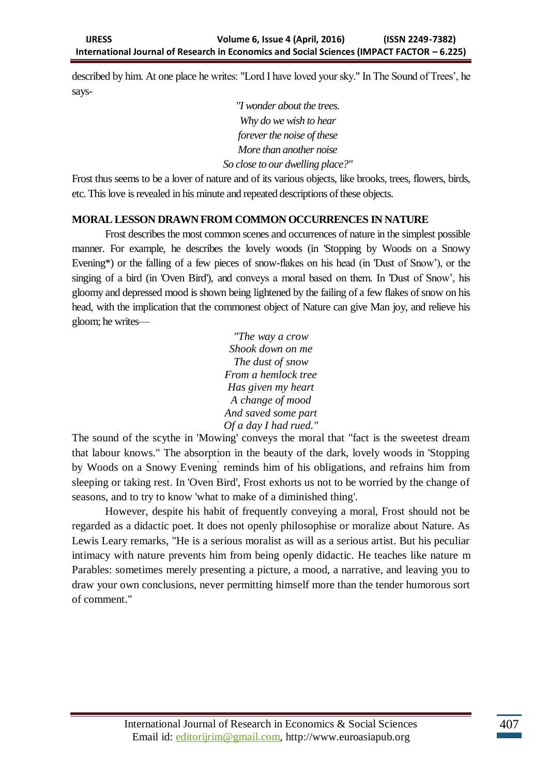described by him. At one place he writes: "Lord I have loved your sky." In The Sound of Trees", he says-

> *"I wonder about the trees. Why do we wish to hear forever the noise of these More than another noise So close to our dwelling place?"*

Frost thus seems to be a lover of nature and of its various objects, like brooks, trees, flowers, birds, etc. This love is revealed in his minute and repeated descriptions of these objects.

## **MORAL LESSON DRAWN FROM COMMON OCCURRENCES IN NATURE**

Frost describes the most common scenes and occurrences of nature in the simplest possible manner. For example, he describes the lovely woods (in 'Stopping by Woods on a Snowy Evening\*) or the falling of a few pieces of snow-flakes on his head (in 'Dust of Snow'), or the singing of a bird (in 'Oven Bird'), and conveys a moral based on them. In 'Dust of Snow', his gloomy and depressed mood is shown being lightened by the failing of a few flakes of snow on his head, with the implication that the commonest object of Nature can give Man joy, and relieve his gloom; he writes—

> *"The way a crow Shook down on me The dust of snow From a hemlock tree Has given my heart A change of mood And saved some part Of a day I had rued."*

The sound of the scythe in 'Mowing' conveys the moral that "fact is the sweetest dream that labour knows." The absorption in the beauty of the dark, lovely woods in 'Stopping by Woods on a Snowy Evening reminds him of his obligations, and refrains him from sleeping or taking rest. In 'Oven Bird', Frost exhorts us not to be worried by the change of seasons, and to try to know 'what to make of a diminished thing'.

However, despite his habit of frequently conveying a moral, Frost should not be regarded as a didactic poet. It does not openly philosophise or moralize about Nature. As Lewis Leary remarks, "He is a serious moralist as will as a serious artist. But his peculiar intimacy with nature prevents him from being openly didactic. He teaches like nature m Parables: sometimes merely presenting a picture, a mood, a narrative, and leaving you to draw your own conclusions, never permitting himself more than the tender humorous sort of comment."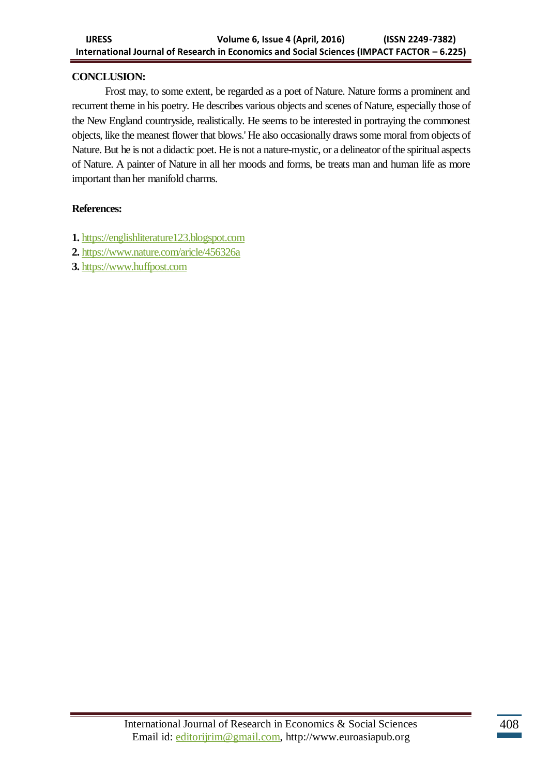#### **CONCLUSION:**

Frost may, to some extent, be regarded as a poet of Nature. Nature forms a prominent and recurrent theme in his poetry. He describes various objects and scenes of Nature, especially those of the New England countryside, realistically. He seems to be interested in portraying the commonest objects, like the meanest flower that blows.' He also occasionally draws some moral from objects of Nature. But he is not a didactic poet. He is not a nature-mystic, or a delineator of the spiritual aspects of Nature. A painter of Nature in all her moods and forms, be treats man and human life as more important than her manifold charms.

#### **References:**

- **1.** [https://englishliterature123.blogspot.com](https://englishliterature123.blogspot.com/)
- **2.** <https://www.nature.com/aricle/456326a>
- **3[.](https://www.huffpost.com/)** [https://www.huffpost.com](https://www.huffpost.com/)